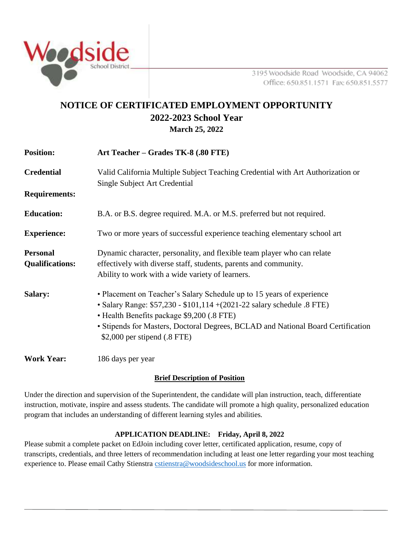

3195 Woodside Road Woodside, CA 94062 Office: 650.851.1571 Fax: 650.851.5577

# **NOTICE OF CERTIFICATED EMPLOYMENT OPPORTUNITY 2022-2023 School Year March 25, 2022**

| <b>Position:</b>                          | Art Teacher - Grades TK-8 (.80 FTE)                                                                                                                                                                                                                                                                                  |
|-------------------------------------------|----------------------------------------------------------------------------------------------------------------------------------------------------------------------------------------------------------------------------------------------------------------------------------------------------------------------|
| <b>Credential</b>                         | Valid California Multiple Subject Teaching Credential with Art Authorization or<br>Single Subject Art Credential                                                                                                                                                                                                     |
| <b>Requirements:</b>                      |                                                                                                                                                                                                                                                                                                                      |
| <b>Education:</b>                         | B.A. or B.S. degree required. M.A. or M.S. preferred but not required.                                                                                                                                                                                                                                               |
| <b>Experience:</b>                        | Two or more years of successful experience teaching elementary school art                                                                                                                                                                                                                                            |
| <b>Personal</b><br><b>Qualifications:</b> | Dynamic character, personality, and flexible team player who can relate<br>effectively with diverse staff, students, parents and community.<br>Ability to work with a wide variety of learners.                                                                                                                      |
| <b>Salary:</b>                            | • Placement on Teacher's Salary Schedule up to 15 years of experience<br>• Salary Range: \$57,230 - \$101,114 + (2021-22 salary schedule .8 FTE)<br>• Health Benefits package \$9,200 (.8 FTE)<br>• Stipends for Masters, Doctoral Degrees, BCLAD and National Board Certification<br>\$2,000 per stipend $(.8$ FTE) |
| <b>Work Year:</b>                         | 186 days per year                                                                                                                                                                                                                                                                                                    |

### **Brief Description of Position**

Under the direction and supervision of the Superintendent, the candidate will plan instruction, teach, differentiate instruction, motivate, inspire and assess students. The candidate will promote a high quality, personalized education program that includes an understanding of different learning styles and abilities*.*

### **APPLICATION DEADLINE: Friday, April 8, 2022**

Please submit a complete packet on EdJoin including cover letter, certificated application, resume, copy of transcripts, credentials, and three letters of recommendation including at least one letter regarding your most teaching experience to. Please email Cathy Stienstr[a cstienstra@woodsideschool.us](mailto:cstienstra@woodsideschool.us) for more information.